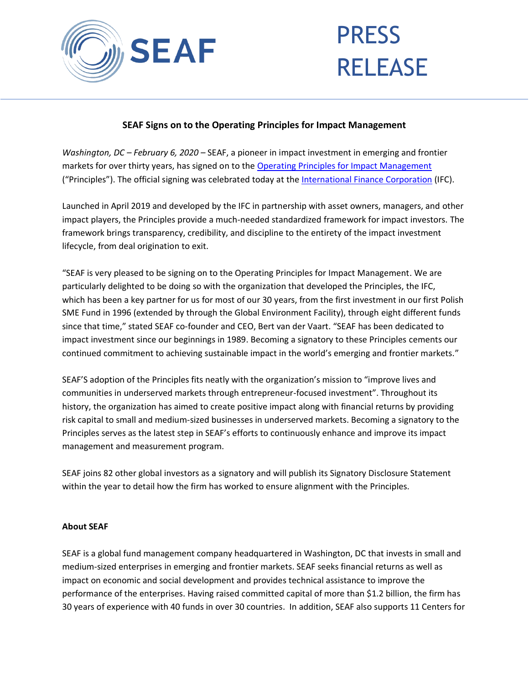

## PRESS RELEASE

## **SEAF Signs on to the Operating Principles for Impact Management**

*Washington, DC – February 6, 2020 –* SEAF, a pioneer in impact investment in emerging and frontier markets for over thirty years, has signed on to the [Operating Principles for Impact Management](https://www.impactprinciples.org/) ("Principles"). The official signing was celebrated today at the [International Finance Corporation](https://www.ifc.org/wps/wcm/connect/corp_ext_content/ifc_external_corporate_site/home) (IFC).

Launched in April 2019 and developed by the IFC in partnership with asset owners, managers, and other impact players, the Principles provide a much-needed standardized framework for impact investors. The framework brings transparency, credibility, and discipline to the entirety of the impact investment lifecycle, from deal origination to exit.

"SEAF is very pleased to be signing on to the Operating Principles for Impact Management. We are particularly delighted to be doing so with the organization that developed the Principles, the IFC, which has been a key partner for us for most of our 30 years, from the first investment in our first Polish SME Fund in 1996 (extended by through the Global Environment Facility), through eight different funds since that time," stated SEAF co-founder and CEO, Bert van der Vaart. "SEAF has been dedicated to impact investment since our beginnings in 1989. Becoming a signatory to these Principles cements our continued commitment to achieving sustainable impact in the world's emerging and frontier markets."

SEAF'S adoption of the Principles fits neatly with the organization's mission to "improve lives and communities in underserved markets through entrepreneur-focused investment". Throughout its history, the organization has aimed to create positive impact along with financial returns by providing risk capital to small and medium-sized businesses in underserved markets. Becoming a signatory to the Principles serves as the latest step in SEAF's efforts to continuously enhance and improve its impact management and measurement program.

SEAF joins 82 other global investors as a signatory and will publish its Signatory Disclosure Statement within the year to detail how the firm has worked to ensure alignment with the Principles.

## **About SEAF**

SEAF is a global fund management company headquartered in Washington, DC that invests in small and medium-sized enterprises in emerging and frontier markets. SEAF seeks financial returns as well as impact on economic and social development and provides technical assistance to improve the performance of the enterprises. Having raised committed capital of more than \$1.2 billion, the firm has 30 years of experience with 40 funds in over 30 countries. In addition, SEAF also supports 11 Centers for